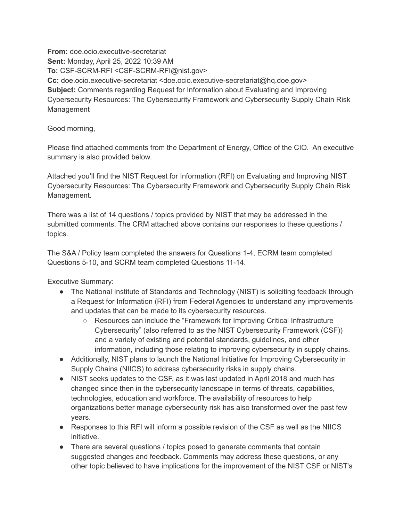**Sent:** Monday, April 25, 2022 10:39 AM **Subject:** Comments regarding Request for Information about Evaluating and Improving Cybersecurity Resources: The Cybersecurity Framework and Cybersecurity Supply Chain Risk **From:** doe.ocio.executive-secretariat **To:** CSF-SCRM-RFI [<CSF-SCRM-RFI@nist.gov>](mailto:CSF-SCRM-RFI@nist.gov) **Cc:** doe.ocio.executive-secretariat [<doe.ocio.executive-secretariat@hq.doe.gov>](mailto:doe.ocio.executive-secretariat@hq.doe.gov) Management

Good morning,

 Please find attached comments from the Department of Energy, Office of the CIO. An executive summary is also provided below.

 Attached you'll find the NIST Request for Information (RFI) on Evaluating and Improving NIST Cybersecurity Resources: The Cybersecurity Framework and Cybersecurity Supply Chain Risk Management.

 There was a list of 14 questions / topics provided by NIST that may be addressed in the submitted comments. The CRM attached above contains our responses to these questions / topics.

 The S&A / Policy team completed the answers for Questions 1-4, ECRM team completed Questions 5-10, and SCRM team completed Questions 11-14.

Executive Summary:

- ● The National Institute of Standards and Technology (NIST) is soliciting feedback through a Request for Information (RFI) from Federal Agencies to understand any improvements and updates that can be made to its cybersecurity resources.
	- Resources can include the "Framework for Improving Critical Infrastructure Cybersecurity" (also referred to as the NIST Cybersecurity Framework (CSF)) and a variety of existing and potential standards, guidelines, and other information, including those relating to improving cybersecurity in supply chains.
- ● Additionally, NIST plans to launch the National Initiative for Improving Cybersecurity in Supply Chains (NIICS) to address cybersecurity risks in supply chains.
- ● NIST seeks updates to the CSF, as it was last updated in April 2018 and much has changed since then in the cybersecurity landscape in terms of threats, capabilities, technologies, education and workforce. The availability of resources to help organizations better manage cybersecurity risk has also transformed over the past few years.
- ● Responses to this RFI will inform a possible revision of the CSF as well as the NIICS initiative.
- ● There are several questions / topics posed to generate comments that contain suggested changes and feedback. Comments may address these questions, or any other topic believed to have implications for the improvement of the NIST CSF or NIST's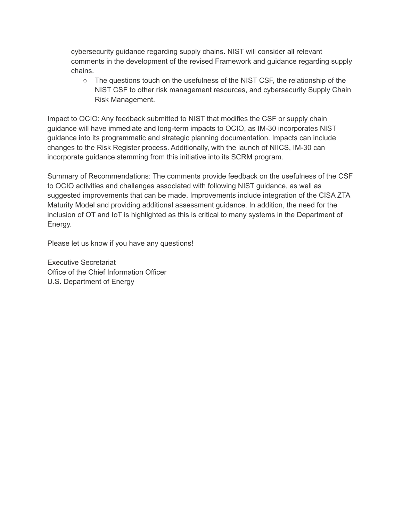cybersecurity guidance regarding supply chains. NIST will consider all relevant comments in the development of the revised Framework and guidance regarding supply chains.

○ The questions touch on the usefulness of the NIST CSF, the relationship of the NIST CSF to other risk management resources, and cybersecurity Supply Chain Risk Management.

 Impact to OCIO: Any feedback submitted to NIST that modifies the CSF or supply chain guidance will have immediate and long-term impacts to OCIO, as IM-30 incorporates NIST guidance into its programmatic and strategic planning documentation. Impacts can include changes to the Risk Register process. Additionally, with the launch of NIICS, IM-30 can incorporate guidance stemming from this initiative into its SCRM program.

 Summary of Recommendations: The comments provide feedback on the usefulness of the CSF to OCIO activities and challenges associated with following NIST guidance, as well as suggested improvements that can be made. Improvements include integration of the CISA ZTA Maturity Model and providing additional assessment guidance. In addition, the need for the inclusion of OT and IoT is highlighted as this is critical to many systems in the Department of Energy.

Please let us know if you have any questions!

 Office of the Chief Information Officer U.S. Department of EnergyExecutive Secretariat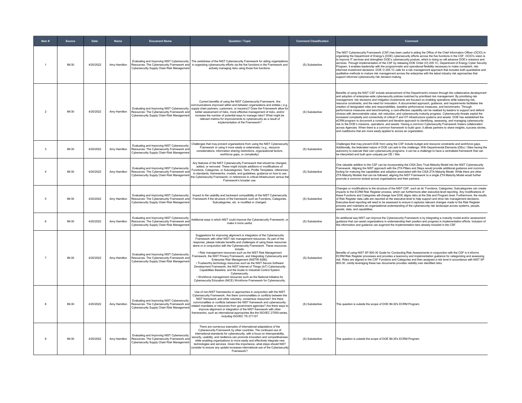| Item#          | Source  | Date      | Name         | <b>Document Name</b>                                                                                                                    | Question / Topic                                                                                                                                                                                                                                                                                                                                                                                                                                                                                                                                                                                                                                                                                                                                                                                                                                                                                      | <b>Comment Classification</b> | Comment                                                                                                                                                                                                                                                                                                                                                                                                                                                                                                                                                                                                                                                                                                                                                                                                                                                                                                                                                                                                                                                                                                                                                                                                                                                                                                                                                                                                                        |
|----------------|---------|-----------|--------------|-----------------------------------------------------------------------------------------------------------------------------------------|-------------------------------------------------------------------------------------------------------------------------------------------------------------------------------------------------------------------------------------------------------------------------------------------------------------------------------------------------------------------------------------------------------------------------------------------------------------------------------------------------------------------------------------------------------------------------------------------------------------------------------------------------------------------------------------------------------------------------------------------------------------------------------------------------------------------------------------------------------------------------------------------------------|-------------------------------|--------------------------------------------------------------------------------------------------------------------------------------------------------------------------------------------------------------------------------------------------------------------------------------------------------------------------------------------------------------------------------------------------------------------------------------------------------------------------------------------------------------------------------------------------------------------------------------------------------------------------------------------------------------------------------------------------------------------------------------------------------------------------------------------------------------------------------------------------------------------------------------------------------------------------------------------------------------------------------------------------------------------------------------------------------------------------------------------------------------------------------------------------------------------------------------------------------------------------------------------------------------------------------------------------------------------------------------------------------------------------------------------------------------------------------|
|                | IM-30   | 4/20/2022 | Amy Hamilton | Cybersecurity Supply Chain Risk Management                                                                                              | Evaluating and Improving NIST Cybersecurity   The usefulness of the NIST Cybersecurity Framework for aiding organizations<br>Resources: The Cybersecurity Framework and in organizing cybersecurity efforts via the five functions in the Framework and<br>actively managing risks using those five functions.                                                                                                                                                                                                                                                                                                                                                                                                                                                                                                                                                                                        | (S) Substantive               | The NIST Cybersecurity Framework (CSF) has been useful in aiding the Office of the Chief Information Officer (OCIO) in<br>organizing the Department of Energy's (DOE) cybersecurity efforts across the five functions in the CSF. OCIO's vision is<br>to improve IT services and strengthen DOE's cybersecurity posture, which in doing so will advance DOE's missions and<br>services. Through implementation of the CSF by releasing DOE Order (O) 205.1C, Department of Energy Cyber Security<br>Program, it enables leadership with the programmatic and operational flexibility necessary to make consistent, risk-<br>informed investment decisions. DOE O 205.1C calls for a risk management approach that includes both quantitative and<br>qualitative methods to mature risk management across the enterprise with the latest industry risk approaches that<br>support informed cybersecurity risk decision-making.                                                                                                                                                                                                                                                                                                                                                                                                                                                                                                  |
| $\overline{2}$ | IM-30   | 4/20/2022 | Amy Hamilton | Resources: The Cybersecurity Framework and<br>Cybersecurity Supply Chain Risk Management                                                | Current benefits of using the NIST Cybersecurity Framework. Are<br>nmunications improved within and between organizations and entities (e.g.<br>Evaluating and Improving NIST Cybersecurity supply chain partners, customers, or insurers)? Does the Framework allow for<br>better assessment of risks, more effective management of risks, and/or<br>increase the number of potential ways to manage risks? What might be<br>relevant metrics for improvements to cybersecurity as a result of<br>implementation of the Framework?                                                                                                                                                                                                                                                                                                                                                                   | (S) Substantive               | Benefits of using the NIST CSF include advancement of the Department's mission through the collaborative development<br>and adoption of enterprise-wide cybersecurity policies matched by prioritized risk management. By prioritizing risk<br>management, risk decisions and mitigation investments are focused on enabling operations while balancing risk,<br>resource constraints, and the need for innovation. A documented approach, guidance, and requirements facilitates the<br>creation of designated roles and responsibilities, baseline performance measures, and benchmarks. Through<br>performance measures and benchmarking, a cost-effective capability can be realized by leaders to support and defend<br>choices with demonstrable value, risk reduction, and cybersecurity maturity progress. Cybersecurity threats exploit the<br>increased complexity and connectivity of critical IT and OT infrastructure systems and assets. DOE has established the<br>eCRM program to document a consistent and iterative approach to identifying, assessing, and managing cybersecurity<br>risk to the DOE's missions, operations, and assets. Having a common Cybersecurity Framework fosters collaboration<br>across Agencies. When there is a common framework to build upon, it allows partners to share insights, success stories,<br>and roadblocks that are more easily applied to across an organization. |
| 3              | IM-30   | 4/20/2022 | Amy Hamilton | Evaluating and Improving NIST Cybersecurity<br>Resources: The Cybersecurity Framework and<br>Cybersecurity Supply Chain Risk Managemen  | Challenges that may prevent organizations from using the NIST Cybersecurity<br>Framework or using it more easily or extensively (e.g., resource<br>considerations, information sharing restrictions, organizational factors,<br>workforce gaps, or complexity).                                                                                                                                                                                                                                                                                                                                                                                                                                                                                                                                                                                                                                       | (S) Substantive               | Challenges that may prevent DOE from using the CSF include budget and resource constraints and workforce gaps.<br>Additionally, the federated nature of DOE can add to this challenge. With Departmental Elements (DEs) / Sites having the<br>autonomy to execute their own cybersecurity programs, it can be a challenge to have a centralized framework that can<br>be interpreted and built upon uniquely per DE / Site.                                                                                                                                                                                                                                                                                                                                                                                                                                                                                                                                                                                                                                                                                                                                                                                                                                                                                                                                                                                                    |
| $\overline{4}$ | IM-30   | 4/20/2022 | Amy Hamilton | Evaluating and Improving NIST Cybersecurity<br>Resources: The Cybersecurity Framework an<br>Cybersecurity Supply Chain Risk Management  | Any features of the NIST Cybersecurity Framework that should be changed,<br>added, or removed. These might include additions or modifications of:<br>unctions. Categories, or Subcategories: Tiers: Profile Templates: references<br>to standards, frameworks, models, and guidelines; guidance on how to use<br>he Cybersecurity Framework; or references to critical infrastructure versus the<br>Framework's broader use.                                                                                                                                                                                                                                                                                                                                                                                                                                                                          | (S) Substantive               | One valuable addition to the CSF can be incorporating the CISA Zero Trust Maturity Model into the NIST Cybersecurity<br>Framework. Aligning the NIST approach with the ZTA Pillars and Steps would provide additional guidance and common<br>footing for maturing the capabilities and adoption associated with the CISA ZTA Maturity Model. While there are other<br>ZTA Maturity Models that can be followed, aligning the NIST Framework to a single ZTA Maturity Model would further<br>promote a common toolset across organizations and their partners.                                                                                                                                                                                                                                                                                                                                                                                                                                                                                                                                                                                                                                                                                                                                                                                                                                                                  |
| $\overline{5}$ | IM-30   | 4/20/2022 | Amy Hamilton | Evaluating and Improving NIST Cybersecurity<br>Resources: The Cybersecurity Framework and<br>Cybersecurity Supply Chain Risk Management | Impact to the usability and backward compatibility of the NIST Cybersecurity<br>Framework if the structure of the framework such as Functions. Categories<br>Subcategories, etc. is modified or changed.                                                                                                                                                                                                                                                                                                                                                                                                                                                                                                                                                                                                                                                                                              | (S) Substantive               | Changes or modifications to the structure of the NIST CSF, such as its' Functions, Categories, Subcategories can create<br>impacts to the ECRM Risk Register process, which can furthermore alter executive-level reporting. Any modifications of<br>these Functions and Categories will change how DOE aligns risks at the Site and Program level. Furthermore, the results<br>of Risk Register data calls are reported at the executive-level to help support and drive risk management decisions.<br>Executive-level reporting will need to be assessed to ensure it captures relevant changes made to the Risk Register<br>process and maintains an organizational understanding of the cybersecurity risk landscape across systems, people,<br>assets, data, and capabilities.                                                                                                                                                                                                                                                                                                                                                                                                                                                                                                                                                                                                                                            |
| 6              | IM-30   | 4/20/2022 | Amy Hamilton | Evaluating and Improving NIST Cybersecurity<br>Resources: The Cybersecurity Framework and<br>Cybersecurity Supply Chain Risk Management | Additional ways in which NIST could improve the Cybersecurity Framework, or<br>make it more useful.                                                                                                                                                                                                                                                                                                                                                                                                                                                                                                                                                                                                                                                                                                                                                                                                   | (S) Substantive               | An additional way NIST can improve the Cybersecurity Framework is by integrating a maturity model and/or assessment<br>guidance that can assist organizations in understanding their position and progress in implementation efforts. Inclusion of<br>this information and guidance can augment the implementation tiers already included in the CSF.                                                                                                                                                                                                                                                                                                                                                                                                                                                                                                                                                                                                                                                                                                                                                                                                                                                                                                                                                                                                                                                                          |
| $\overline{7}$ | $IM-30$ | 4/20/2022 | Amy Hamilton | Evaluating and Improving NIST Cybersecurity<br>Resources: The Cybersecurity Framework and<br>Cybersecurity Supply Chain Risk Management | Suggestions for improving alignment or integration of the Cybersecurity<br>Framework with other NIST risk management resources. As part of the<br>response, please indicate benefits and challenges of using these resources<br>alone or in conjunction with the Cybersecurity Framework. These resources<br>include:<br>. Risk management resources such as the NIST Risk Management<br>amework, the NIST Privacy Framework, and Integrating Cybersecurity and<br>Enterprise Risk Management (NISTIR 8286).<br>· Trustworthy technology resources such as the NIST Secure Software<br>Development Framework, the NIST Internet of Things (IoT) Cybersecurity<br>Capabilities Baseline, and the Guide to Industrial Control System<br>Cybersecurity.<br>. Workforce management resources such as the National Initiative for<br>Cybersecurity Education (NICE) Workforce Framework for Cybersecurity. | (S) Substantive               | Benefits of using NIST SP 800-30 Guide for Conducting Risk Assessments in conjunction with the CSF is it informs<br>ECRM Risk Register processes and provides a taxonomy and implementation guidance for categorizing and assessing<br>risk. Risks are aligned to the CSF Functions and Categories and then assigned a risk level in accordance with NIST SP<br>800-30. Jointly leveraging these two documents provides visibility over identified risks.                                                                                                                                                                                                                                                                                                                                                                                                                                                                                                                                                                                                                                                                                                                                                                                                                                                                                                                                                                      |
| 8              | IM-30   | 4/20/2022 | Amy Hamilton | Evaluating and Improving NIST Cybersecurity<br>Resources: The Cybersecurity Framework and<br>Cybersecurity Supply Chain Risk Management | Use of non-NIST frameworks or approaches in conjunction with the NIST<br>Cybersecurity Framework. Are there commonalities or conflicts between the<br>NIST framework and other voluntary, consensus resources? Are there<br>commonalities or conflicts between the NIST framework and cybersecurity-<br>elated mandates or resources from government agencies? Are there ways to<br>improve alignment or integration of the NIST framework with other<br>frameworks, such as international approaches like the ISO/IEC 27000-series.<br>including ISO/IEC TS 27110?                                                                                                                                                                                                                                                                                                                                   | (S) Substantive               | This question is outside the scope of DOE IM-30's ECRM Program.                                                                                                                                                                                                                                                                                                                                                                                                                                                                                                                                                                                                                                                                                                                                                                                                                                                                                                                                                                                                                                                                                                                                                                                                                                                                                                                                                                |
| $\mathbf{q}$   | $IM-30$ | 4/20/2022 | Amy Hamilton | Evaluating and Improving NIST Cybersecurity<br>Resources: The Cybersecurity Framework and<br>Cybersecurity Supply Chain Risk Management | There are numerous examples of international adaptations of the<br>Cybersecurity Framework by other countries. The continued use of<br>international standards for cybersecurity, with a focus on interoperability,<br>ecurity, usability, and resilience can promote innovation and competitiveness<br>while enabling organizations to more easily and effectively integrate new<br>technologies and services. Given this importance, what steps should NIST<br>consider to ensure any update increases international use of the Cybersecurity<br>Framework?                                                                                                                                                                                                                                                                                                                                         | (S) Substantive               | This question is outside the scope of DOE IM-30's ECRM Program.                                                                                                                                                                                                                                                                                                                                                                                                                                                                                                                                                                                                                                                                                                                                                                                                                                                                                                                                                                                                                                                                                                                                                                                                                                                                                                                                                                |